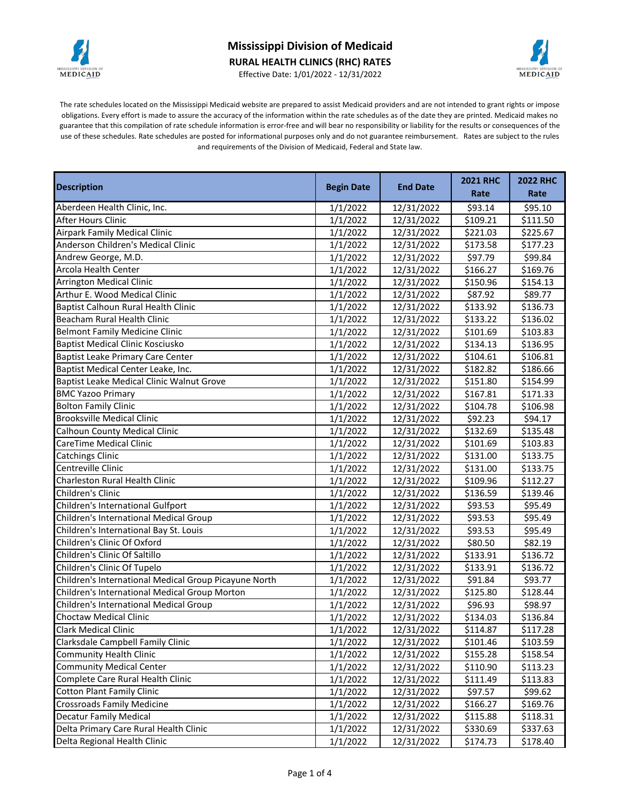

## **Mississippi Division of Medicaid RURAL HEALTH CLINICS (RHC) RATES**



Effective Date: 1/01/2022 - 12/31/2022

The rate schedules located on the Mississippi Medicaid website are prepared to assist Medicaid providers and are not intended to grant rights or impose obligations. Every effort is made to assure the accuracy of the information within the rate schedules as of the date they are printed. Medicaid makes no guarantee that this compilation of rate schedule information is error-free and will bear no responsibility or liability for the results or consequences of the use of these schedules. Rate schedules are posted for informational purposes only and do not guarantee reimbursement. Rates are subject to the rules and requirements of the Division of Medicaid, Federal and State law.

| <b>Description</b><br><b>Begin Date</b>               |          | <b>End Date</b> | <b>2021 RHC</b> | <b>2022 RHC</b> |
|-------------------------------------------------------|----------|-----------------|-----------------|-----------------|
|                                                       |          |                 | Rate            | Rate            |
| Aberdeen Health Clinic, Inc.                          | 1/1/2022 | 12/31/2022      | \$93.14         | \$95.10         |
| <b>After Hours Clinic</b>                             | 1/1/2022 | 12/31/2022      | \$109.21        | \$111.50        |
| <b>Airpark Family Medical Clinic</b>                  | 1/1/2022 | 12/31/2022      | \$221.03        | \$225.67        |
| Anderson Children's Medical Clinic                    | 1/1/2022 | 12/31/2022      | \$173.58        | \$177.23        |
| Andrew George, M.D.                                   | 1/1/2022 | 12/31/2022      | \$97.79         | \$99.84         |
| <b>Arcola Health Center</b>                           | 1/1/2022 | 12/31/2022      | \$166.27        | \$169.76        |
| <b>Arrington Medical Clinic</b>                       | 1/1/2022 | 12/31/2022      | \$150.96        | \$154.13        |
| Arthur E. Wood Medical Clinic                         | 1/1/2022 | 12/31/2022      | \$87.92         | \$89.77         |
| <b>Baptist Calhoun Rural Health Clinic</b>            | 1/1/2022 | 12/31/2022      | \$133.92        | \$136.73        |
| Beacham Rural Health Clinic                           | 1/1/2022 | 12/31/2022      | \$133.22        | \$136.02        |
| <b>Belmont Family Medicine Clinic</b>                 | 1/1/2022 | 12/31/2022      | \$101.69        | \$103.83        |
| <b>Baptist Medical Clinic Kosciusko</b>               | 1/1/2022 | 12/31/2022      | \$134.13        | \$136.95        |
| Baptist Leake Primary Care Center                     | 1/1/2022 | 12/31/2022      | \$104.61        | \$106.81        |
| Baptist Medical Center Leake, Inc.                    | 1/1/2022 | 12/31/2022      | \$182.82        | \$186.66        |
| Baptist Leake Medical Clinic Walnut Grove             | 1/1/2022 | 12/31/2022      | \$151.80        | \$154.99        |
| <b>BMC Yazoo Primary</b>                              | 1/1/2022 | 12/31/2022      | \$167.81        | \$171.33        |
| <b>Bolton Family Clinic</b>                           | 1/1/2022 | 12/31/2022      | \$104.78        | \$106.98        |
| <b>Brooksville Medical Clinic</b>                     | 1/1/2022 | 12/31/2022      | \$92.23         | \$94.17         |
| <b>Calhoun County Medical Clinic</b>                  | 1/1/2022 | 12/31/2022      | \$132.69        | \$135.48        |
| CareTime Medical Clinic                               | 1/1/2022 | 12/31/2022      | \$101.69        | \$103.83        |
| <b>Catchings Clinic</b>                               | 1/1/2022 | 12/31/2022      | \$131.00        | \$133.75        |
| Centreville Clinic                                    | 1/1/2022 | 12/31/2022      | \$131.00        | \$133.75        |
| <b>Charleston Rural Health Clinic</b>                 | 1/1/2022 | 12/31/2022      | \$109.96        | \$112.27        |
| Children's Clinic                                     | 1/1/2022 | 12/31/2022      | \$136.59        | \$139.46        |
| Children's International Gulfport                     | 1/1/2022 | 12/31/2022      | \$93.53         | \$95.49         |
| Children's International Medical Group                | 1/1/2022 | 12/31/2022      | \$93.53         | \$95.49         |
| Children's International Bay St. Louis                | 1/1/2022 | 12/31/2022      | \$93.53         | \$95.49         |
| Children's Clinic Of Oxford                           | 1/1/2022 | 12/31/2022      | \$80.50         | \$82.19         |
| Children's Clinic Of Saltillo                         | 1/1/2022 | 12/31/2022      | \$133.91        | \$136.72        |
| Children's Clinic Of Tupelo                           | 1/1/2022 | 12/31/2022      | \$133.91        | \$136.72        |
| Children's International Medical Group Picayune North | 1/1/2022 | 12/31/2022      | \$91.84         | \$93.77         |
| Children's International Medical Group Morton         | 1/1/2022 | 12/31/2022      | \$125.80        | \$128.44        |
| Children's International Medical Group                | 1/1/2022 | 12/31/2022      | \$96.93         | \$98.97         |
| <b>Choctaw Medical Clinic</b>                         | 1/1/2022 | 12/31/2022      | \$134.03        | \$136.84        |
| <b>Clark Medical Clinic</b>                           | 1/1/2022 | 12/31/2022      | \$114.87        | \$117.28        |
| Clarksdale Campbell Family Clinic                     | 1/1/2022 | 12/31/2022      | \$101.46        | \$103.59        |
| <b>Community Health Clinic</b>                        | 1/1/2022 | 12/31/2022      | \$155.28        | \$158.54        |
| <b>Community Medical Center</b>                       | 1/1/2022 | 12/31/2022      | \$110.90        | \$113.23        |
| Complete Care Rural Health Clinic                     | 1/1/2022 | 12/31/2022      | \$111.49        | \$113.83        |
| <b>Cotton Plant Family Clinic</b>                     | 1/1/2022 | 12/31/2022      | \$97.57         | \$99.62         |
| <b>Crossroads Family Medicine</b>                     | 1/1/2022 | 12/31/2022      | \$166.27        | \$169.76        |
| <b>Decatur Family Medical</b>                         | 1/1/2022 | 12/31/2022      | \$115.88        | \$118.31        |
| Delta Primary Care Rural Health Clinic                | 1/1/2022 | 12/31/2022      | \$330.69        | \$337.63        |
| Delta Regional Health Clinic                          | 1/1/2022 | 12/31/2022      | \$174.73        | \$178.40        |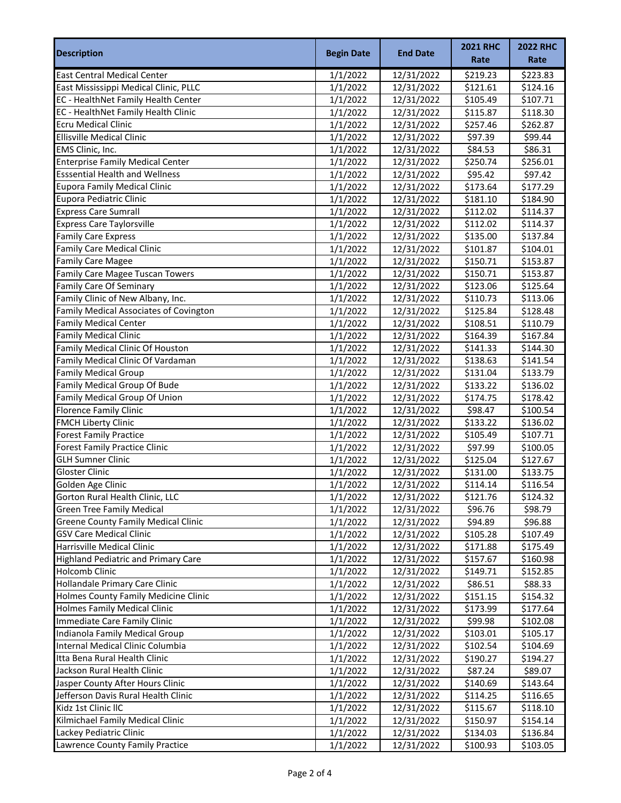| <b>Description</b>                         | <b>Begin Date</b> | <b>End Date</b>          | <b>2021 RHC</b> | <b>2022 RHC</b> |
|--------------------------------------------|-------------------|--------------------------|-----------------|-----------------|
|                                            |                   |                          | Rate            | Rate            |
| <b>East Central Medical Center</b>         | 1/1/2022          | 12/31/2022               | \$219.23        | \$223.83        |
| East Mississippi Medical Clinic, PLLC      | 1/1/2022          | 12/31/2022               | \$121.61        | \$124.16        |
| EC - HealthNet Family Health Center        | 1/1/2022          | 12/31/2022               | \$105.49        | \$107.71        |
| EC - HealthNet Family Health Clinic        | 1/1/2022          | 12/31/2022               | \$115.87        | \$118.30        |
| <b>Ecru Medical Clinic</b>                 | 1/1/2022          | 12/31/2022               | \$257.46        | \$262.87        |
| <b>Ellisville Medical Clinic</b>           | 1/1/2022          | 12/31/2022               | \$97.39         | \$99.44         |
| EMS Clinic, Inc.                           | 1/1/2022          | 12/31/2022               | \$84.53         | \$86.31         |
| <b>Enterprise Family Medical Center</b>    | 1/1/2022          | 12/31/2022               | \$250.74        | \$256.01        |
| <b>Esssential Health and Wellness</b>      | 1/1/2022          | 12/31/2022               | \$95.42         | \$97.42         |
| <b>Eupora Family Medical Clinic</b>        | 1/1/2022          | 12/31/2022               | \$173.64        | \$177.29        |
| Eupora Pediatric Clinic                    | 1/1/2022          | 12/31/2022               | \$181.10        | \$184.90        |
| <b>Express Care Sumrall</b>                | 1/1/2022          | 12/31/2022               | \$112.02        | \$114.37        |
| <b>Express Care Taylorsville</b>           | 1/1/2022          | 12/31/2022               | \$112.02        | \$114.37        |
| <b>Family Care Express</b>                 | 1/1/2022          | 12/31/2022               | \$135.00        | \$137.84        |
| Family Care Medical Clinic                 |                   |                          | \$101.87        |                 |
| <b>Family Care Magee</b>                   | 1/1/2022          | 12/31/2022<br>12/31/2022 |                 | \$104.01        |
| <b>Family Care Magee Tuscan Towers</b>     | 1/1/2022          |                          | \$150.71        | \$153.87        |
|                                            | 1/1/2022          | 12/31/2022               | \$150.71        | \$153.87        |
| <b>Family Care Of Seminary</b>             | 1/1/2022          | 12/31/2022               | \$123.06        | \$125.64        |
| Family Clinic of New Albany, Inc.          | 1/1/2022          | 12/31/2022               | \$110.73        | \$113.06        |
| Family Medical Associates of Covington     | 1/1/2022          | 12/31/2022               | \$125.84        | \$128.48        |
| <b>Family Medical Center</b>               | 1/1/2022          | 12/31/2022               | \$108.51        | \$110.79        |
| <b>Family Medical Clinic</b>               | 1/1/2022          | 12/31/2022               | \$164.39        | \$167.84        |
| Family Medical Clinic Of Houston           | 1/1/2022          | 12/31/2022               | \$141.33        | \$144.30        |
| Family Medical Clinic Of Vardaman          | 1/1/2022          | 12/31/2022               | \$138.63        | \$141.54        |
| <b>Family Medical Group</b>                | 1/1/2022          | 12/31/2022               | \$131.04        | \$133.79        |
| Family Medical Group Of Bude               | 1/1/2022          | 12/31/2022               | \$133.22        | \$136.02        |
| Family Medical Group Of Union              | 1/1/2022          | 12/31/2022               | \$174.75        | \$178.42        |
| <b>Florence Family Clinic</b>              | 1/1/2022          | 12/31/2022               | \$98.47         | \$100.54        |
| <b>FMCH Liberty Clinic</b>                 | 1/1/2022          | 12/31/2022               | \$133.22        | \$136.02        |
| <b>Forest Family Practice</b>              | 1/1/2022          | 12/31/2022               | \$105.49        | \$107.71        |
| <b>Forest Family Practice Clinic</b>       | 1/1/2022          | 12/31/2022               | \$97.99         | \$100.05        |
| <b>GLH Sumner Clinic</b>                   | 1/1/2022          | 12/31/2022               | \$125.04        | \$127.67        |
| <b>Gloster Clinic</b>                      | 1/1/2022          | 12/31/2022               | \$131.00        | \$133.75        |
| Golden Age Clinic                          | 1/1/2022          | 12/31/2022               | \$114.14        | \$116.54        |
| Gorton Rural Health Clinic, LLC            | 1/1/2022          | 12/31/2022               | \$121.76        | \$124.32        |
| <b>Green Tree Family Medical</b>           | 1/1/2022          | 12/31/2022               | \$96.76         | \$98.79         |
| <b>Greene County Family Medical Clinic</b> | 1/1/2022          | 12/31/2022               | \$94.89         | \$96.88         |
| <b>GSV Care Medical Clinic</b>             | 1/1/2022          | 12/31/2022               | \$105.28        | \$107.49        |
| Harrisville Medical Clinic                 | 1/1/2022          | 12/31/2022               | \$171.88        | \$175.49        |
| <b>Highland Pediatric and Primary Care</b> | 1/1/2022          | 12/31/2022               | \$157.67        | \$160.98        |
| <b>Holcomb Clinic</b>                      | 1/1/2022          | 12/31/2022               | \$149.71        | \$152.85        |
| Hollandale Primary Care Clinic             | 1/1/2022          | 12/31/2022               | \$86.51         | \$88.33         |
| Holmes County Family Medicine Clinic       | 1/1/2022          | 12/31/2022               | \$151.15        | \$154.32        |
| <b>Holmes Family Medical Clinic</b>        | 1/1/2022          | 12/31/2022               | \$173.99        | \$177.64        |
| Immediate Care Family Clinic               | 1/1/2022          | 12/31/2022               | \$99.98         | \$102.08        |
| Indianola Family Medical Group             | 1/1/2022          | 12/31/2022               | \$103.01        | \$105.17        |
| Internal Medical Clinic Columbia           | 1/1/2022          | 12/31/2022               | \$102.54        | \$104.69        |
| Itta Bena Rural Health Clinic              | 1/1/2022          | 12/31/2022               | \$190.27        | \$194.27        |
| Jackson Rural Health Clinic                | 1/1/2022          | 12/31/2022               | \$87.24         | \$89.07         |
| Jasper County After Hours Clinic           |                   |                          |                 |                 |
|                                            | 1/1/2022          | 12/31/2022               | \$140.69        | \$143.64        |
| Jefferson Davis Rural Health Clinic        | 1/1/2022          | 12/31/2022               | \$114.25        | \$116.65        |
| Kidz 1st Clinic IIC                        | 1/1/2022          | 12/31/2022               | \$115.67        | \$118.10        |
| Kilmichael Family Medical Clinic           | 1/1/2022          | 12/31/2022               | \$150.97        | \$154.14        |
| Lackey Pediatric Clinic                    | 1/1/2022          | 12/31/2022               | \$134.03        | \$136.84        |
| Lawrence County Family Practice            | 1/1/2022          | 12/31/2022               | \$100.93        | \$103.05        |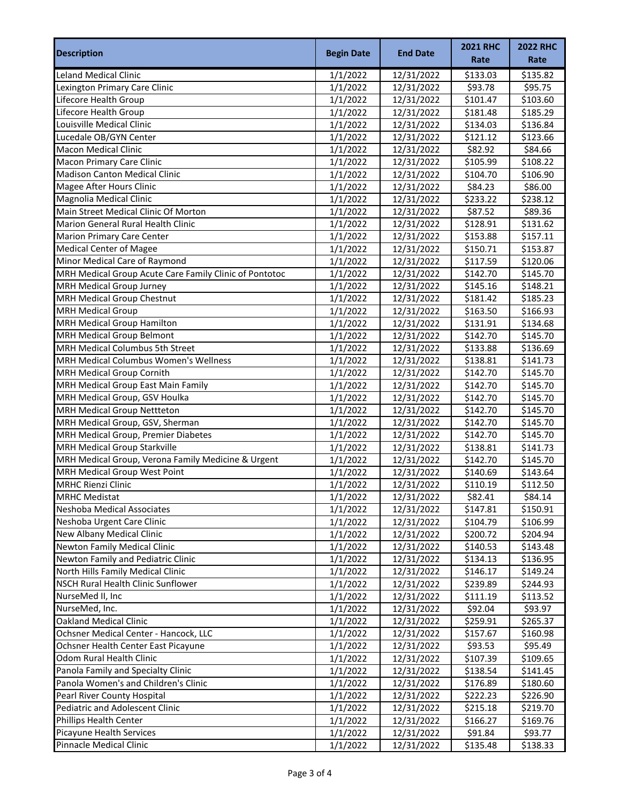| Rate<br>Rate<br><b>Leland Medical Clinic</b><br>\$135.82<br>1/1/2022<br>12/31/2022<br>\$133.03<br>Lexington Primary Care Clinic<br>1/1/2022<br>12/31/2022<br>593.78<br>\$95.75<br>Lifecore Health Group<br>\$101.47<br>\$103.60<br>1/1/2022<br>12/31/2022<br>Lifecore Health Group<br>\$181.48<br>\$185.29<br>12/31/2022<br>1/1/2022<br>Louisville Medical Clinic<br>\$134.03<br>\$136.84<br>1/1/2022<br>12/31/2022<br>Lucedale OB/GYN Center<br>\$121.12<br>\$123.66<br>1/1/2022<br>12/31/2022<br>\$82.92<br><b>Macon Medical Clinic</b><br>1/1/2022<br>12/31/2022<br>\$84.66<br>\$105.99<br>\$108.22<br>1/1/2022<br>12/31/2022<br><b>Madison Canton Medical Clinic</b><br>1/1/2022<br>12/31/2022<br>\$104.70<br>\$106.90<br>\$84.23<br>Magee After Hours Clinic<br>1/1/2022<br>12/31/2022<br>\$86.00<br>Magnolia Medical Clinic<br>\$233.22<br>1/1/2022<br>12/31/2022<br>\$238.12<br>Main Street Medical Clinic Of Morton<br>1/1/2022<br>12/31/2022<br>\$87.52<br>\$89.36<br>Marion General Rural Health Clinic<br>\$128.91<br>1/1/2022<br>12/31/2022<br>\$131.62<br><b>Marion Primary Care Center</b><br>1/1/2022<br>12/31/2022<br>\$153.88<br>\$157.11<br><b>Medical Center of Magee</b><br>\$150.71<br>\$153.87<br>1/1/2022<br>12/31/2022<br>Minor Medical Care of Raymond<br>\$117.59<br>1/1/2022<br>\$120.06<br>12/31/2022<br>MRH Medical Group Acute Care Family Clinic of Pontotoc<br>\$145.70<br>1/1/2022<br>12/31/2022<br>\$142.70<br>MRH Medical Group Jurney<br>\$145.16<br>\$148.21<br>1/1/2022<br>12/31/2022<br><b>MRH Medical Group Chestnut</b><br>\$181.42<br>\$185.23<br>1/1/2022<br>12/31/2022<br><b>MRH Medical Group</b><br>\$163.50<br>\$166.93<br>1/1/2022<br>12/31/2022<br>MRH Medical Group Hamilton<br>12/31/2022<br>\$131.91<br>\$134.68<br>1/1/2022<br>MRH Medical Group Belmont<br>\$142.70<br>\$145.70<br>1/1/2022<br>12/31/2022<br>MRH Medical Columbus 5th Street<br>\$133.88<br>\$136.69<br>1/1/2022<br>12/31/2022<br><b>MRH Medical Columbus Women's Wellness</b><br>\$138.81<br>\$141.73<br>1/1/2022<br>12/31/2022<br><b>MRH Medical Group Cornith</b><br>\$142.70<br>\$145.70<br>1/1/2022<br>12/31/2022<br>MRH Medical Group East Main Family<br>5142.70<br>\$145.70<br>1/1/2022<br>12/31/2022<br>MRH Medical Group, GSV Houlka<br>\$142.70<br>\$145.70<br>1/1/2022<br>12/31/2022<br>\$145.70<br><b>MRH Medical Group Nettteton</b><br>12/31/2022<br>\$142.70<br>1/1/2022<br>MRH Medical Group, GSV, Sherman<br>\$142.70<br>\$145.70<br>1/1/2022<br>12/31/2022<br>\$142.70<br>\$145.70<br>MRH Medical Group, Premier Diabetes<br>1/1/2022<br>12/31/2022<br><b>MRH Medical Group Starkville</b><br>1/1/2022<br>12/31/2022<br>\$138.81<br>\$141.73<br>MRH Medical Group, Verona Family Medicine & Urgent<br>12/31/2022<br>\$142.70<br>\$145.70<br>1/1/2022<br>MRH Medical Group West Point<br>\$143.64<br>1/1/2022<br>12/31/2022<br>\$140.69<br><b>MRHC Rienzi Clinic</b><br>\$112.50<br>\$110.19<br>1/1/2022<br>12/31/2022<br><b>MRHC Medistat</b><br>1/1/2022<br>12/31/2022<br>\$82.41<br>\$84.14<br>Neshoba Medical Associates<br>1/1/2022<br>12/31/2022<br>\$147.81<br>\$150.91<br>Neshoba Urgent Care Clinic<br>1/1/2022<br>12/31/2022<br>\$104.79<br>\$106.99<br>New Albany Medical Clinic<br>1/1/2022<br>12/31/2022<br>\$200.72<br>\$204.94<br><b>Newton Family Medical Clinic</b><br>1/1/2022<br>12/31/2022<br>\$140.53<br>\$143.48<br>Newton Family and Pediatric Clinic<br>\$134.13<br>1/1/2022<br>12/31/2022<br>\$136.95<br>North Hills Family Medical Clinic<br>\$146.17<br>\$149.24<br>1/1/2022<br>12/31/2022<br>NSCH Rural Health Clinic Sunflower<br>\$239.89<br>\$244.93<br>1/1/2022<br>12/31/2022<br>NurseMed II, Inc<br>1/1/2022<br>12/31/2022<br>\$111.19<br>\$113.52<br>NurseMed, Inc.<br>1/1/2022<br>12/31/2022<br>\$92.04<br>\$93.97<br><b>Oakland Medical Clinic</b><br>1/1/2022<br>12/31/2022<br>\$259.91<br>\$265.37<br>Ochsner Medical Center - Hancock, LLC<br>1/1/2022<br>12/31/2022<br>\$157.67<br>\$160.98<br>Ochsner Health Center East Picayune<br>\$95.49<br>1/1/2022<br>12/31/2022<br>\$93.53<br>Odom Rural Health Clinic<br>1/1/2022<br>12/31/2022<br>\$107.39<br>\$109.65<br>Panola Family and Specialty Clinic<br>\$141.45<br>1/1/2022<br>12/31/2022<br>\$138.54<br>Panola Women's and Children's Clinic<br>\$176.89<br>\$180.60<br>1/1/2022<br>12/31/2022<br>Pearl River County Hospital<br>\$222.23<br>\$226.90<br>1/1/2022<br>12/31/2022<br>Pediatric and Adolescent Clinic<br>\$215.18<br>\$219.70<br>1/1/2022<br>12/31/2022<br>Phillips Health Center<br>1/1/2022<br>12/31/2022<br>\$166.27<br>\$169.76<br>Picayune Health Services<br>\$91.84<br>\$93.77<br>1/1/2022<br>12/31/2022 | <b>Description</b>               | <b>Begin Date</b> | <b>End Date</b> | <b>2021 RHC</b> | <b>2022 RHC</b> |
|------------------------------------------------------------------------------------------------------------------------------------------------------------------------------------------------------------------------------------------------------------------------------------------------------------------------------------------------------------------------------------------------------------------------------------------------------------------------------------------------------------------------------------------------------------------------------------------------------------------------------------------------------------------------------------------------------------------------------------------------------------------------------------------------------------------------------------------------------------------------------------------------------------------------------------------------------------------------------------------------------------------------------------------------------------------------------------------------------------------------------------------------------------------------------------------------------------------------------------------------------------------------------------------------------------------------------------------------------------------------------------------------------------------------------------------------------------------------------------------------------------------------------------------------------------------------------------------------------------------------------------------------------------------------------------------------------------------------------------------------------------------------------------------------------------------------------------------------------------------------------------------------------------------------------------------------------------------------------------------------------------------------------------------------------------------------------------------------------------------------------------------------------------------------------------------------------------------------------------------------------------------------------------------------------------------------------------------------------------------------------------------------------------------------------------------------------------------------------------------------------------------------------------------------------------------------------------------------------------------------------------------------------------------------------------------------------------------------------------------------------------------------------------------------------------------------------------------------------------------------------------------------------------------------------------------------------------------------------------------------------------------------------------------------------------------------------------------------------------------------------------------------------------------------------------------------------------------------------------------------------------------------------------------------------------------------------------------------------------------------------------------------------------------------------------------------------------------------------------------------------------------------------------------------------------------------------------------------------------------------------------------------------------------------------------------------------------------------------------------------------------------------------------------------------------------------------------------------------------------------------------------------------------------------------------------------------------------------------------------------------------------------------------------------------------------------------------------------------------------------------------------------------------------------------------------------------------------------------------------------------------------------------------------------------------------------------------------------------------------------------------------------------------------------------------------------------------------------------------------------------------------------------------------------------------------------------------------------------------------------------------------------------------------|----------------------------------|-------------------|-----------------|-----------------|-----------------|
|                                                                                                                                                                                                                                                                                                                                                                                                                                                                                                                                                                                                                                                                                                                                                                                                                                                                                                                                                                                                                                                                                                                                                                                                                                                                                                                                                                                                                                                                                                                                                                                                                                                                                                                                                                                                                                                                                                                                                                                                                                                                                                                                                                                                                                                                                                                                                                                                                                                                                                                                                                                                                                                                                                                                                                                                                                                                                                                                                                                                                                                                                                                                                                                                                                                                                                                                                                                                                                                                                                                                                                                                                                                                                                                                                                                                                                                                                                                                                                                                                                                                                                                                                                                                                                                                                                                                                                                                                                                                                                                                                                                                                                                                  |                                  |                   |                 |                 |                 |
|                                                                                                                                                                                                                                                                                                                                                                                                                                                                                                                                                                                                                                                                                                                                                                                                                                                                                                                                                                                                                                                                                                                                                                                                                                                                                                                                                                                                                                                                                                                                                                                                                                                                                                                                                                                                                                                                                                                                                                                                                                                                                                                                                                                                                                                                                                                                                                                                                                                                                                                                                                                                                                                                                                                                                                                                                                                                                                                                                                                                                                                                                                                                                                                                                                                                                                                                                                                                                                                                                                                                                                                                                                                                                                                                                                                                                                                                                                                                                                                                                                                                                                                                                                                                                                                                                                                                                                                                                                                                                                                                                                                                                                                                  |                                  |                   |                 |                 |                 |
|                                                                                                                                                                                                                                                                                                                                                                                                                                                                                                                                                                                                                                                                                                                                                                                                                                                                                                                                                                                                                                                                                                                                                                                                                                                                                                                                                                                                                                                                                                                                                                                                                                                                                                                                                                                                                                                                                                                                                                                                                                                                                                                                                                                                                                                                                                                                                                                                                                                                                                                                                                                                                                                                                                                                                                                                                                                                                                                                                                                                                                                                                                                                                                                                                                                                                                                                                                                                                                                                                                                                                                                                                                                                                                                                                                                                                                                                                                                                                                                                                                                                                                                                                                                                                                                                                                                                                                                                                                                                                                                                                                                                                                                                  |                                  |                   |                 |                 |                 |
|                                                                                                                                                                                                                                                                                                                                                                                                                                                                                                                                                                                                                                                                                                                                                                                                                                                                                                                                                                                                                                                                                                                                                                                                                                                                                                                                                                                                                                                                                                                                                                                                                                                                                                                                                                                                                                                                                                                                                                                                                                                                                                                                                                                                                                                                                                                                                                                                                                                                                                                                                                                                                                                                                                                                                                                                                                                                                                                                                                                                                                                                                                                                                                                                                                                                                                                                                                                                                                                                                                                                                                                                                                                                                                                                                                                                                                                                                                                                                                                                                                                                                                                                                                                                                                                                                                                                                                                                                                                                                                                                                                                                                                                                  |                                  |                   |                 |                 |                 |
|                                                                                                                                                                                                                                                                                                                                                                                                                                                                                                                                                                                                                                                                                                                                                                                                                                                                                                                                                                                                                                                                                                                                                                                                                                                                                                                                                                                                                                                                                                                                                                                                                                                                                                                                                                                                                                                                                                                                                                                                                                                                                                                                                                                                                                                                                                                                                                                                                                                                                                                                                                                                                                                                                                                                                                                                                                                                                                                                                                                                                                                                                                                                                                                                                                                                                                                                                                                                                                                                                                                                                                                                                                                                                                                                                                                                                                                                                                                                                                                                                                                                                                                                                                                                                                                                                                                                                                                                                                                                                                                                                                                                                                                                  |                                  |                   |                 |                 |                 |
|                                                                                                                                                                                                                                                                                                                                                                                                                                                                                                                                                                                                                                                                                                                                                                                                                                                                                                                                                                                                                                                                                                                                                                                                                                                                                                                                                                                                                                                                                                                                                                                                                                                                                                                                                                                                                                                                                                                                                                                                                                                                                                                                                                                                                                                                                                                                                                                                                                                                                                                                                                                                                                                                                                                                                                                                                                                                                                                                                                                                                                                                                                                                                                                                                                                                                                                                                                                                                                                                                                                                                                                                                                                                                                                                                                                                                                                                                                                                                                                                                                                                                                                                                                                                                                                                                                                                                                                                                                                                                                                                                                                                                                                                  |                                  |                   |                 |                 |                 |
|                                                                                                                                                                                                                                                                                                                                                                                                                                                                                                                                                                                                                                                                                                                                                                                                                                                                                                                                                                                                                                                                                                                                                                                                                                                                                                                                                                                                                                                                                                                                                                                                                                                                                                                                                                                                                                                                                                                                                                                                                                                                                                                                                                                                                                                                                                                                                                                                                                                                                                                                                                                                                                                                                                                                                                                                                                                                                                                                                                                                                                                                                                                                                                                                                                                                                                                                                                                                                                                                                                                                                                                                                                                                                                                                                                                                                                                                                                                                                                                                                                                                                                                                                                                                                                                                                                                                                                                                                                                                                                                                                                                                                                                                  |                                  |                   |                 |                 |                 |
|                                                                                                                                                                                                                                                                                                                                                                                                                                                                                                                                                                                                                                                                                                                                                                                                                                                                                                                                                                                                                                                                                                                                                                                                                                                                                                                                                                                                                                                                                                                                                                                                                                                                                                                                                                                                                                                                                                                                                                                                                                                                                                                                                                                                                                                                                                                                                                                                                                                                                                                                                                                                                                                                                                                                                                                                                                                                                                                                                                                                                                                                                                                                                                                                                                                                                                                                                                                                                                                                                                                                                                                                                                                                                                                                                                                                                                                                                                                                                                                                                                                                                                                                                                                                                                                                                                                                                                                                                                                                                                                                                                                                                                                                  |                                  |                   |                 |                 |                 |
|                                                                                                                                                                                                                                                                                                                                                                                                                                                                                                                                                                                                                                                                                                                                                                                                                                                                                                                                                                                                                                                                                                                                                                                                                                                                                                                                                                                                                                                                                                                                                                                                                                                                                                                                                                                                                                                                                                                                                                                                                                                                                                                                                                                                                                                                                                                                                                                                                                                                                                                                                                                                                                                                                                                                                                                                                                                                                                                                                                                                                                                                                                                                                                                                                                                                                                                                                                                                                                                                                                                                                                                                                                                                                                                                                                                                                                                                                                                                                                                                                                                                                                                                                                                                                                                                                                                                                                                                                                                                                                                                                                                                                                                                  | <b>Macon Primary Care Clinic</b> |                   |                 |                 |                 |
|                                                                                                                                                                                                                                                                                                                                                                                                                                                                                                                                                                                                                                                                                                                                                                                                                                                                                                                                                                                                                                                                                                                                                                                                                                                                                                                                                                                                                                                                                                                                                                                                                                                                                                                                                                                                                                                                                                                                                                                                                                                                                                                                                                                                                                                                                                                                                                                                                                                                                                                                                                                                                                                                                                                                                                                                                                                                                                                                                                                                                                                                                                                                                                                                                                                                                                                                                                                                                                                                                                                                                                                                                                                                                                                                                                                                                                                                                                                                                                                                                                                                                                                                                                                                                                                                                                                                                                                                                                                                                                                                                                                                                                                                  |                                  |                   |                 |                 |                 |
|                                                                                                                                                                                                                                                                                                                                                                                                                                                                                                                                                                                                                                                                                                                                                                                                                                                                                                                                                                                                                                                                                                                                                                                                                                                                                                                                                                                                                                                                                                                                                                                                                                                                                                                                                                                                                                                                                                                                                                                                                                                                                                                                                                                                                                                                                                                                                                                                                                                                                                                                                                                                                                                                                                                                                                                                                                                                                                                                                                                                                                                                                                                                                                                                                                                                                                                                                                                                                                                                                                                                                                                                                                                                                                                                                                                                                                                                                                                                                                                                                                                                                                                                                                                                                                                                                                                                                                                                                                                                                                                                                                                                                                                                  |                                  |                   |                 |                 |                 |
|                                                                                                                                                                                                                                                                                                                                                                                                                                                                                                                                                                                                                                                                                                                                                                                                                                                                                                                                                                                                                                                                                                                                                                                                                                                                                                                                                                                                                                                                                                                                                                                                                                                                                                                                                                                                                                                                                                                                                                                                                                                                                                                                                                                                                                                                                                                                                                                                                                                                                                                                                                                                                                                                                                                                                                                                                                                                                                                                                                                                                                                                                                                                                                                                                                                                                                                                                                                                                                                                                                                                                                                                                                                                                                                                                                                                                                                                                                                                                                                                                                                                                                                                                                                                                                                                                                                                                                                                                                                                                                                                                                                                                                                                  |                                  |                   |                 |                 |                 |
|                                                                                                                                                                                                                                                                                                                                                                                                                                                                                                                                                                                                                                                                                                                                                                                                                                                                                                                                                                                                                                                                                                                                                                                                                                                                                                                                                                                                                                                                                                                                                                                                                                                                                                                                                                                                                                                                                                                                                                                                                                                                                                                                                                                                                                                                                                                                                                                                                                                                                                                                                                                                                                                                                                                                                                                                                                                                                                                                                                                                                                                                                                                                                                                                                                                                                                                                                                                                                                                                                                                                                                                                                                                                                                                                                                                                                                                                                                                                                                                                                                                                                                                                                                                                                                                                                                                                                                                                                                                                                                                                                                                                                                                                  |                                  |                   |                 |                 |                 |
|                                                                                                                                                                                                                                                                                                                                                                                                                                                                                                                                                                                                                                                                                                                                                                                                                                                                                                                                                                                                                                                                                                                                                                                                                                                                                                                                                                                                                                                                                                                                                                                                                                                                                                                                                                                                                                                                                                                                                                                                                                                                                                                                                                                                                                                                                                                                                                                                                                                                                                                                                                                                                                                                                                                                                                                                                                                                                                                                                                                                                                                                                                                                                                                                                                                                                                                                                                                                                                                                                                                                                                                                                                                                                                                                                                                                                                                                                                                                                                                                                                                                                                                                                                                                                                                                                                                                                                                                                                                                                                                                                                                                                                                                  |                                  |                   |                 |                 |                 |
|                                                                                                                                                                                                                                                                                                                                                                                                                                                                                                                                                                                                                                                                                                                                                                                                                                                                                                                                                                                                                                                                                                                                                                                                                                                                                                                                                                                                                                                                                                                                                                                                                                                                                                                                                                                                                                                                                                                                                                                                                                                                                                                                                                                                                                                                                                                                                                                                                                                                                                                                                                                                                                                                                                                                                                                                                                                                                                                                                                                                                                                                                                                                                                                                                                                                                                                                                                                                                                                                                                                                                                                                                                                                                                                                                                                                                                                                                                                                                                                                                                                                                                                                                                                                                                                                                                                                                                                                                                                                                                                                                                                                                                                                  |                                  |                   |                 |                 |                 |
|                                                                                                                                                                                                                                                                                                                                                                                                                                                                                                                                                                                                                                                                                                                                                                                                                                                                                                                                                                                                                                                                                                                                                                                                                                                                                                                                                                                                                                                                                                                                                                                                                                                                                                                                                                                                                                                                                                                                                                                                                                                                                                                                                                                                                                                                                                                                                                                                                                                                                                                                                                                                                                                                                                                                                                                                                                                                                                                                                                                                                                                                                                                                                                                                                                                                                                                                                                                                                                                                                                                                                                                                                                                                                                                                                                                                                                                                                                                                                                                                                                                                                                                                                                                                                                                                                                                                                                                                                                                                                                                                                                                                                                                                  |                                  |                   |                 |                 |                 |
|                                                                                                                                                                                                                                                                                                                                                                                                                                                                                                                                                                                                                                                                                                                                                                                                                                                                                                                                                                                                                                                                                                                                                                                                                                                                                                                                                                                                                                                                                                                                                                                                                                                                                                                                                                                                                                                                                                                                                                                                                                                                                                                                                                                                                                                                                                                                                                                                                                                                                                                                                                                                                                                                                                                                                                                                                                                                                                                                                                                                                                                                                                                                                                                                                                                                                                                                                                                                                                                                                                                                                                                                                                                                                                                                                                                                                                                                                                                                                                                                                                                                                                                                                                                                                                                                                                                                                                                                                                                                                                                                                                                                                                                                  |                                  |                   |                 |                 |                 |
|                                                                                                                                                                                                                                                                                                                                                                                                                                                                                                                                                                                                                                                                                                                                                                                                                                                                                                                                                                                                                                                                                                                                                                                                                                                                                                                                                                                                                                                                                                                                                                                                                                                                                                                                                                                                                                                                                                                                                                                                                                                                                                                                                                                                                                                                                                                                                                                                                                                                                                                                                                                                                                                                                                                                                                                                                                                                                                                                                                                                                                                                                                                                                                                                                                                                                                                                                                                                                                                                                                                                                                                                                                                                                                                                                                                                                                                                                                                                                                                                                                                                                                                                                                                                                                                                                                                                                                                                                                                                                                                                                                                                                                                                  |                                  |                   |                 |                 |                 |
|                                                                                                                                                                                                                                                                                                                                                                                                                                                                                                                                                                                                                                                                                                                                                                                                                                                                                                                                                                                                                                                                                                                                                                                                                                                                                                                                                                                                                                                                                                                                                                                                                                                                                                                                                                                                                                                                                                                                                                                                                                                                                                                                                                                                                                                                                                                                                                                                                                                                                                                                                                                                                                                                                                                                                                                                                                                                                                                                                                                                                                                                                                                                                                                                                                                                                                                                                                                                                                                                                                                                                                                                                                                                                                                                                                                                                                                                                                                                                                                                                                                                                                                                                                                                                                                                                                                                                                                                                                                                                                                                                                                                                                                                  |                                  |                   |                 |                 |                 |
|                                                                                                                                                                                                                                                                                                                                                                                                                                                                                                                                                                                                                                                                                                                                                                                                                                                                                                                                                                                                                                                                                                                                                                                                                                                                                                                                                                                                                                                                                                                                                                                                                                                                                                                                                                                                                                                                                                                                                                                                                                                                                                                                                                                                                                                                                                                                                                                                                                                                                                                                                                                                                                                                                                                                                                                                                                                                                                                                                                                                                                                                                                                                                                                                                                                                                                                                                                                                                                                                                                                                                                                                                                                                                                                                                                                                                                                                                                                                                                                                                                                                                                                                                                                                                                                                                                                                                                                                                                                                                                                                                                                                                                                                  |                                  |                   |                 |                 |                 |
|                                                                                                                                                                                                                                                                                                                                                                                                                                                                                                                                                                                                                                                                                                                                                                                                                                                                                                                                                                                                                                                                                                                                                                                                                                                                                                                                                                                                                                                                                                                                                                                                                                                                                                                                                                                                                                                                                                                                                                                                                                                                                                                                                                                                                                                                                                                                                                                                                                                                                                                                                                                                                                                                                                                                                                                                                                                                                                                                                                                                                                                                                                                                                                                                                                                                                                                                                                                                                                                                                                                                                                                                                                                                                                                                                                                                                                                                                                                                                                                                                                                                                                                                                                                                                                                                                                                                                                                                                                                                                                                                                                                                                                                                  |                                  |                   |                 |                 |                 |
|                                                                                                                                                                                                                                                                                                                                                                                                                                                                                                                                                                                                                                                                                                                                                                                                                                                                                                                                                                                                                                                                                                                                                                                                                                                                                                                                                                                                                                                                                                                                                                                                                                                                                                                                                                                                                                                                                                                                                                                                                                                                                                                                                                                                                                                                                                                                                                                                                                                                                                                                                                                                                                                                                                                                                                                                                                                                                                                                                                                                                                                                                                                                                                                                                                                                                                                                                                                                                                                                                                                                                                                                                                                                                                                                                                                                                                                                                                                                                                                                                                                                                                                                                                                                                                                                                                                                                                                                                                                                                                                                                                                                                                                                  |                                  |                   |                 |                 |                 |
|                                                                                                                                                                                                                                                                                                                                                                                                                                                                                                                                                                                                                                                                                                                                                                                                                                                                                                                                                                                                                                                                                                                                                                                                                                                                                                                                                                                                                                                                                                                                                                                                                                                                                                                                                                                                                                                                                                                                                                                                                                                                                                                                                                                                                                                                                                                                                                                                                                                                                                                                                                                                                                                                                                                                                                                                                                                                                                                                                                                                                                                                                                                                                                                                                                                                                                                                                                                                                                                                                                                                                                                                                                                                                                                                                                                                                                                                                                                                                                                                                                                                                                                                                                                                                                                                                                                                                                                                                                                                                                                                                                                                                                                                  |                                  |                   |                 |                 |                 |
|                                                                                                                                                                                                                                                                                                                                                                                                                                                                                                                                                                                                                                                                                                                                                                                                                                                                                                                                                                                                                                                                                                                                                                                                                                                                                                                                                                                                                                                                                                                                                                                                                                                                                                                                                                                                                                                                                                                                                                                                                                                                                                                                                                                                                                                                                                                                                                                                                                                                                                                                                                                                                                                                                                                                                                                                                                                                                                                                                                                                                                                                                                                                                                                                                                                                                                                                                                                                                                                                                                                                                                                                                                                                                                                                                                                                                                                                                                                                                                                                                                                                                                                                                                                                                                                                                                                                                                                                                                                                                                                                                                                                                                                                  |                                  |                   |                 |                 |                 |
|                                                                                                                                                                                                                                                                                                                                                                                                                                                                                                                                                                                                                                                                                                                                                                                                                                                                                                                                                                                                                                                                                                                                                                                                                                                                                                                                                                                                                                                                                                                                                                                                                                                                                                                                                                                                                                                                                                                                                                                                                                                                                                                                                                                                                                                                                                                                                                                                                                                                                                                                                                                                                                                                                                                                                                                                                                                                                                                                                                                                                                                                                                                                                                                                                                                                                                                                                                                                                                                                                                                                                                                                                                                                                                                                                                                                                                                                                                                                                                                                                                                                                                                                                                                                                                                                                                                                                                                                                                                                                                                                                                                                                                                                  |                                  |                   |                 |                 |                 |
|                                                                                                                                                                                                                                                                                                                                                                                                                                                                                                                                                                                                                                                                                                                                                                                                                                                                                                                                                                                                                                                                                                                                                                                                                                                                                                                                                                                                                                                                                                                                                                                                                                                                                                                                                                                                                                                                                                                                                                                                                                                                                                                                                                                                                                                                                                                                                                                                                                                                                                                                                                                                                                                                                                                                                                                                                                                                                                                                                                                                                                                                                                                                                                                                                                                                                                                                                                                                                                                                                                                                                                                                                                                                                                                                                                                                                                                                                                                                                                                                                                                                                                                                                                                                                                                                                                                                                                                                                                                                                                                                                                                                                                                                  |                                  |                   |                 |                 |                 |
|                                                                                                                                                                                                                                                                                                                                                                                                                                                                                                                                                                                                                                                                                                                                                                                                                                                                                                                                                                                                                                                                                                                                                                                                                                                                                                                                                                                                                                                                                                                                                                                                                                                                                                                                                                                                                                                                                                                                                                                                                                                                                                                                                                                                                                                                                                                                                                                                                                                                                                                                                                                                                                                                                                                                                                                                                                                                                                                                                                                                                                                                                                                                                                                                                                                                                                                                                                                                                                                                                                                                                                                                                                                                                                                                                                                                                                                                                                                                                                                                                                                                                                                                                                                                                                                                                                                                                                                                                                                                                                                                                                                                                                                                  |                                  |                   |                 |                 |                 |
|                                                                                                                                                                                                                                                                                                                                                                                                                                                                                                                                                                                                                                                                                                                                                                                                                                                                                                                                                                                                                                                                                                                                                                                                                                                                                                                                                                                                                                                                                                                                                                                                                                                                                                                                                                                                                                                                                                                                                                                                                                                                                                                                                                                                                                                                                                                                                                                                                                                                                                                                                                                                                                                                                                                                                                                                                                                                                                                                                                                                                                                                                                                                                                                                                                                                                                                                                                                                                                                                                                                                                                                                                                                                                                                                                                                                                                                                                                                                                                                                                                                                                                                                                                                                                                                                                                                                                                                                                                                                                                                                                                                                                                                                  |                                  |                   |                 |                 |                 |
|                                                                                                                                                                                                                                                                                                                                                                                                                                                                                                                                                                                                                                                                                                                                                                                                                                                                                                                                                                                                                                                                                                                                                                                                                                                                                                                                                                                                                                                                                                                                                                                                                                                                                                                                                                                                                                                                                                                                                                                                                                                                                                                                                                                                                                                                                                                                                                                                                                                                                                                                                                                                                                                                                                                                                                                                                                                                                                                                                                                                                                                                                                                                                                                                                                                                                                                                                                                                                                                                                                                                                                                                                                                                                                                                                                                                                                                                                                                                                                                                                                                                                                                                                                                                                                                                                                                                                                                                                                                                                                                                                                                                                                                                  |                                  |                   |                 |                 |                 |
|                                                                                                                                                                                                                                                                                                                                                                                                                                                                                                                                                                                                                                                                                                                                                                                                                                                                                                                                                                                                                                                                                                                                                                                                                                                                                                                                                                                                                                                                                                                                                                                                                                                                                                                                                                                                                                                                                                                                                                                                                                                                                                                                                                                                                                                                                                                                                                                                                                                                                                                                                                                                                                                                                                                                                                                                                                                                                                                                                                                                                                                                                                                                                                                                                                                                                                                                                                                                                                                                                                                                                                                                                                                                                                                                                                                                                                                                                                                                                                                                                                                                                                                                                                                                                                                                                                                                                                                                                                                                                                                                                                                                                                                                  |                                  |                   |                 |                 |                 |
|                                                                                                                                                                                                                                                                                                                                                                                                                                                                                                                                                                                                                                                                                                                                                                                                                                                                                                                                                                                                                                                                                                                                                                                                                                                                                                                                                                                                                                                                                                                                                                                                                                                                                                                                                                                                                                                                                                                                                                                                                                                                                                                                                                                                                                                                                                                                                                                                                                                                                                                                                                                                                                                                                                                                                                                                                                                                                                                                                                                                                                                                                                                                                                                                                                                                                                                                                                                                                                                                                                                                                                                                                                                                                                                                                                                                                                                                                                                                                                                                                                                                                                                                                                                                                                                                                                                                                                                                                                                                                                                                                                                                                                                                  |                                  |                   |                 |                 |                 |
|                                                                                                                                                                                                                                                                                                                                                                                                                                                                                                                                                                                                                                                                                                                                                                                                                                                                                                                                                                                                                                                                                                                                                                                                                                                                                                                                                                                                                                                                                                                                                                                                                                                                                                                                                                                                                                                                                                                                                                                                                                                                                                                                                                                                                                                                                                                                                                                                                                                                                                                                                                                                                                                                                                                                                                                                                                                                                                                                                                                                                                                                                                                                                                                                                                                                                                                                                                                                                                                                                                                                                                                                                                                                                                                                                                                                                                                                                                                                                                                                                                                                                                                                                                                                                                                                                                                                                                                                                                                                                                                                                                                                                                                                  |                                  |                   |                 |                 |                 |
|                                                                                                                                                                                                                                                                                                                                                                                                                                                                                                                                                                                                                                                                                                                                                                                                                                                                                                                                                                                                                                                                                                                                                                                                                                                                                                                                                                                                                                                                                                                                                                                                                                                                                                                                                                                                                                                                                                                                                                                                                                                                                                                                                                                                                                                                                                                                                                                                                                                                                                                                                                                                                                                                                                                                                                                                                                                                                                                                                                                                                                                                                                                                                                                                                                                                                                                                                                                                                                                                                                                                                                                                                                                                                                                                                                                                                                                                                                                                                                                                                                                                                                                                                                                                                                                                                                                                                                                                                                                                                                                                                                                                                                                                  |                                  |                   |                 |                 |                 |
|                                                                                                                                                                                                                                                                                                                                                                                                                                                                                                                                                                                                                                                                                                                                                                                                                                                                                                                                                                                                                                                                                                                                                                                                                                                                                                                                                                                                                                                                                                                                                                                                                                                                                                                                                                                                                                                                                                                                                                                                                                                                                                                                                                                                                                                                                                                                                                                                                                                                                                                                                                                                                                                                                                                                                                                                                                                                                                                                                                                                                                                                                                                                                                                                                                                                                                                                                                                                                                                                                                                                                                                                                                                                                                                                                                                                                                                                                                                                                                                                                                                                                                                                                                                                                                                                                                                                                                                                                                                                                                                                                                                                                                                                  |                                  |                   |                 |                 |                 |
|                                                                                                                                                                                                                                                                                                                                                                                                                                                                                                                                                                                                                                                                                                                                                                                                                                                                                                                                                                                                                                                                                                                                                                                                                                                                                                                                                                                                                                                                                                                                                                                                                                                                                                                                                                                                                                                                                                                                                                                                                                                                                                                                                                                                                                                                                                                                                                                                                                                                                                                                                                                                                                                                                                                                                                                                                                                                                                                                                                                                                                                                                                                                                                                                                                                                                                                                                                                                                                                                                                                                                                                                                                                                                                                                                                                                                                                                                                                                                                                                                                                                                                                                                                                                                                                                                                                                                                                                                                                                                                                                                                                                                                                                  |                                  |                   |                 |                 |                 |
|                                                                                                                                                                                                                                                                                                                                                                                                                                                                                                                                                                                                                                                                                                                                                                                                                                                                                                                                                                                                                                                                                                                                                                                                                                                                                                                                                                                                                                                                                                                                                                                                                                                                                                                                                                                                                                                                                                                                                                                                                                                                                                                                                                                                                                                                                                                                                                                                                                                                                                                                                                                                                                                                                                                                                                                                                                                                                                                                                                                                                                                                                                                                                                                                                                                                                                                                                                                                                                                                                                                                                                                                                                                                                                                                                                                                                                                                                                                                                                                                                                                                                                                                                                                                                                                                                                                                                                                                                                                                                                                                                                                                                                                                  |                                  |                   |                 |                 |                 |
|                                                                                                                                                                                                                                                                                                                                                                                                                                                                                                                                                                                                                                                                                                                                                                                                                                                                                                                                                                                                                                                                                                                                                                                                                                                                                                                                                                                                                                                                                                                                                                                                                                                                                                                                                                                                                                                                                                                                                                                                                                                                                                                                                                                                                                                                                                                                                                                                                                                                                                                                                                                                                                                                                                                                                                                                                                                                                                                                                                                                                                                                                                                                                                                                                                                                                                                                                                                                                                                                                                                                                                                                                                                                                                                                                                                                                                                                                                                                                                                                                                                                                                                                                                                                                                                                                                                                                                                                                                                                                                                                                                                                                                                                  |                                  |                   |                 |                 |                 |
|                                                                                                                                                                                                                                                                                                                                                                                                                                                                                                                                                                                                                                                                                                                                                                                                                                                                                                                                                                                                                                                                                                                                                                                                                                                                                                                                                                                                                                                                                                                                                                                                                                                                                                                                                                                                                                                                                                                                                                                                                                                                                                                                                                                                                                                                                                                                                                                                                                                                                                                                                                                                                                                                                                                                                                                                                                                                                                                                                                                                                                                                                                                                                                                                                                                                                                                                                                                                                                                                                                                                                                                                                                                                                                                                                                                                                                                                                                                                                                                                                                                                                                                                                                                                                                                                                                                                                                                                                                                                                                                                                                                                                                                                  |                                  |                   |                 |                 |                 |
|                                                                                                                                                                                                                                                                                                                                                                                                                                                                                                                                                                                                                                                                                                                                                                                                                                                                                                                                                                                                                                                                                                                                                                                                                                                                                                                                                                                                                                                                                                                                                                                                                                                                                                                                                                                                                                                                                                                                                                                                                                                                                                                                                                                                                                                                                                                                                                                                                                                                                                                                                                                                                                                                                                                                                                                                                                                                                                                                                                                                                                                                                                                                                                                                                                                                                                                                                                                                                                                                                                                                                                                                                                                                                                                                                                                                                                                                                                                                                                                                                                                                                                                                                                                                                                                                                                                                                                                                                                                                                                                                                                                                                                                                  |                                  |                   |                 |                 |                 |
|                                                                                                                                                                                                                                                                                                                                                                                                                                                                                                                                                                                                                                                                                                                                                                                                                                                                                                                                                                                                                                                                                                                                                                                                                                                                                                                                                                                                                                                                                                                                                                                                                                                                                                                                                                                                                                                                                                                                                                                                                                                                                                                                                                                                                                                                                                                                                                                                                                                                                                                                                                                                                                                                                                                                                                                                                                                                                                                                                                                                                                                                                                                                                                                                                                                                                                                                                                                                                                                                                                                                                                                                                                                                                                                                                                                                                                                                                                                                                                                                                                                                                                                                                                                                                                                                                                                                                                                                                                                                                                                                                                                                                                                                  |                                  |                   |                 |                 |                 |
|                                                                                                                                                                                                                                                                                                                                                                                                                                                                                                                                                                                                                                                                                                                                                                                                                                                                                                                                                                                                                                                                                                                                                                                                                                                                                                                                                                                                                                                                                                                                                                                                                                                                                                                                                                                                                                                                                                                                                                                                                                                                                                                                                                                                                                                                                                                                                                                                                                                                                                                                                                                                                                                                                                                                                                                                                                                                                                                                                                                                                                                                                                                                                                                                                                                                                                                                                                                                                                                                                                                                                                                                                                                                                                                                                                                                                                                                                                                                                                                                                                                                                                                                                                                                                                                                                                                                                                                                                                                                                                                                                                                                                                                                  |                                  |                   |                 |                 |                 |
|                                                                                                                                                                                                                                                                                                                                                                                                                                                                                                                                                                                                                                                                                                                                                                                                                                                                                                                                                                                                                                                                                                                                                                                                                                                                                                                                                                                                                                                                                                                                                                                                                                                                                                                                                                                                                                                                                                                                                                                                                                                                                                                                                                                                                                                                                                                                                                                                                                                                                                                                                                                                                                                                                                                                                                                                                                                                                                                                                                                                                                                                                                                                                                                                                                                                                                                                                                                                                                                                                                                                                                                                                                                                                                                                                                                                                                                                                                                                                                                                                                                                                                                                                                                                                                                                                                                                                                                                                                                                                                                                                                                                                                                                  |                                  |                   |                 |                 |                 |
|                                                                                                                                                                                                                                                                                                                                                                                                                                                                                                                                                                                                                                                                                                                                                                                                                                                                                                                                                                                                                                                                                                                                                                                                                                                                                                                                                                                                                                                                                                                                                                                                                                                                                                                                                                                                                                                                                                                                                                                                                                                                                                                                                                                                                                                                                                                                                                                                                                                                                                                                                                                                                                                                                                                                                                                                                                                                                                                                                                                                                                                                                                                                                                                                                                                                                                                                                                                                                                                                                                                                                                                                                                                                                                                                                                                                                                                                                                                                                                                                                                                                                                                                                                                                                                                                                                                                                                                                                                                                                                                                                                                                                                                                  |                                  |                   |                 |                 |                 |
|                                                                                                                                                                                                                                                                                                                                                                                                                                                                                                                                                                                                                                                                                                                                                                                                                                                                                                                                                                                                                                                                                                                                                                                                                                                                                                                                                                                                                                                                                                                                                                                                                                                                                                                                                                                                                                                                                                                                                                                                                                                                                                                                                                                                                                                                                                                                                                                                                                                                                                                                                                                                                                                                                                                                                                                                                                                                                                                                                                                                                                                                                                                                                                                                                                                                                                                                                                                                                                                                                                                                                                                                                                                                                                                                                                                                                                                                                                                                                                                                                                                                                                                                                                                                                                                                                                                                                                                                                                                                                                                                                                                                                                                                  |                                  |                   |                 |                 |                 |
|                                                                                                                                                                                                                                                                                                                                                                                                                                                                                                                                                                                                                                                                                                                                                                                                                                                                                                                                                                                                                                                                                                                                                                                                                                                                                                                                                                                                                                                                                                                                                                                                                                                                                                                                                                                                                                                                                                                                                                                                                                                                                                                                                                                                                                                                                                                                                                                                                                                                                                                                                                                                                                                                                                                                                                                                                                                                                                                                                                                                                                                                                                                                                                                                                                                                                                                                                                                                                                                                                                                                                                                                                                                                                                                                                                                                                                                                                                                                                                                                                                                                                                                                                                                                                                                                                                                                                                                                                                                                                                                                                                                                                                                                  |                                  |                   |                 |                 |                 |
|                                                                                                                                                                                                                                                                                                                                                                                                                                                                                                                                                                                                                                                                                                                                                                                                                                                                                                                                                                                                                                                                                                                                                                                                                                                                                                                                                                                                                                                                                                                                                                                                                                                                                                                                                                                                                                                                                                                                                                                                                                                                                                                                                                                                                                                                                                                                                                                                                                                                                                                                                                                                                                                                                                                                                                                                                                                                                                                                                                                                                                                                                                                                                                                                                                                                                                                                                                                                                                                                                                                                                                                                                                                                                                                                                                                                                                                                                                                                                                                                                                                                                                                                                                                                                                                                                                                                                                                                                                                                                                                                                                                                                                                                  |                                  |                   |                 |                 |                 |
|                                                                                                                                                                                                                                                                                                                                                                                                                                                                                                                                                                                                                                                                                                                                                                                                                                                                                                                                                                                                                                                                                                                                                                                                                                                                                                                                                                                                                                                                                                                                                                                                                                                                                                                                                                                                                                                                                                                                                                                                                                                                                                                                                                                                                                                                                                                                                                                                                                                                                                                                                                                                                                                                                                                                                                                                                                                                                                                                                                                                                                                                                                                                                                                                                                                                                                                                                                                                                                                                                                                                                                                                                                                                                                                                                                                                                                                                                                                                                                                                                                                                                                                                                                                                                                                                                                                                                                                                                                                                                                                                                                                                                                                                  |                                  |                   |                 |                 |                 |
|                                                                                                                                                                                                                                                                                                                                                                                                                                                                                                                                                                                                                                                                                                                                                                                                                                                                                                                                                                                                                                                                                                                                                                                                                                                                                                                                                                                                                                                                                                                                                                                                                                                                                                                                                                                                                                                                                                                                                                                                                                                                                                                                                                                                                                                                                                                                                                                                                                                                                                                                                                                                                                                                                                                                                                                                                                                                                                                                                                                                                                                                                                                                                                                                                                                                                                                                                                                                                                                                                                                                                                                                                                                                                                                                                                                                                                                                                                                                                                                                                                                                                                                                                                                                                                                                                                                                                                                                                                                                                                                                                                                                                                                                  |                                  |                   |                 |                 |                 |
|                                                                                                                                                                                                                                                                                                                                                                                                                                                                                                                                                                                                                                                                                                                                                                                                                                                                                                                                                                                                                                                                                                                                                                                                                                                                                                                                                                                                                                                                                                                                                                                                                                                                                                                                                                                                                                                                                                                                                                                                                                                                                                                                                                                                                                                                                                                                                                                                                                                                                                                                                                                                                                                                                                                                                                                                                                                                                                                                                                                                                                                                                                                                                                                                                                                                                                                                                                                                                                                                                                                                                                                                                                                                                                                                                                                                                                                                                                                                                                                                                                                                                                                                                                                                                                                                                                                                                                                                                                                                                                                                                                                                                                                                  |                                  |                   |                 |                 |                 |
|                                                                                                                                                                                                                                                                                                                                                                                                                                                                                                                                                                                                                                                                                                                                                                                                                                                                                                                                                                                                                                                                                                                                                                                                                                                                                                                                                                                                                                                                                                                                                                                                                                                                                                                                                                                                                                                                                                                                                                                                                                                                                                                                                                                                                                                                                                                                                                                                                                                                                                                                                                                                                                                                                                                                                                                                                                                                                                                                                                                                                                                                                                                                                                                                                                                                                                                                                                                                                                                                                                                                                                                                                                                                                                                                                                                                                                                                                                                                                                                                                                                                                                                                                                                                                                                                                                                                                                                                                                                                                                                                                                                                                                                                  |                                  |                   |                 |                 |                 |
|                                                                                                                                                                                                                                                                                                                                                                                                                                                                                                                                                                                                                                                                                                                                                                                                                                                                                                                                                                                                                                                                                                                                                                                                                                                                                                                                                                                                                                                                                                                                                                                                                                                                                                                                                                                                                                                                                                                                                                                                                                                                                                                                                                                                                                                                                                                                                                                                                                                                                                                                                                                                                                                                                                                                                                                                                                                                                                                                                                                                                                                                                                                                                                                                                                                                                                                                                                                                                                                                                                                                                                                                                                                                                                                                                                                                                                                                                                                                                                                                                                                                                                                                                                                                                                                                                                                                                                                                                                                                                                                                                                                                                                                                  |                                  |                   |                 |                 |                 |
|                                                                                                                                                                                                                                                                                                                                                                                                                                                                                                                                                                                                                                                                                                                                                                                                                                                                                                                                                                                                                                                                                                                                                                                                                                                                                                                                                                                                                                                                                                                                                                                                                                                                                                                                                                                                                                                                                                                                                                                                                                                                                                                                                                                                                                                                                                                                                                                                                                                                                                                                                                                                                                                                                                                                                                                                                                                                                                                                                                                                                                                                                                                                                                                                                                                                                                                                                                                                                                                                                                                                                                                                                                                                                                                                                                                                                                                                                                                                                                                                                                                                                                                                                                                                                                                                                                                                                                                                                                                                                                                                                                                                                                                                  |                                  |                   |                 |                 |                 |
|                                                                                                                                                                                                                                                                                                                                                                                                                                                                                                                                                                                                                                                                                                                                                                                                                                                                                                                                                                                                                                                                                                                                                                                                                                                                                                                                                                                                                                                                                                                                                                                                                                                                                                                                                                                                                                                                                                                                                                                                                                                                                                                                                                                                                                                                                                                                                                                                                                                                                                                                                                                                                                                                                                                                                                                                                                                                                                                                                                                                                                                                                                                                                                                                                                                                                                                                                                                                                                                                                                                                                                                                                                                                                                                                                                                                                                                                                                                                                                                                                                                                                                                                                                                                                                                                                                                                                                                                                                                                                                                                                                                                                                                                  |                                  |                   |                 |                 |                 |
|                                                                                                                                                                                                                                                                                                                                                                                                                                                                                                                                                                                                                                                                                                                                                                                                                                                                                                                                                                                                                                                                                                                                                                                                                                                                                                                                                                                                                                                                                                                                                                                                                                                                                                                                                                                                                                                                                                                                                                                                                                                                                                                                                                                                                                                                                                                                                                                                                                                                                                                                                                                                                                                                                                                                                                                                                                                                                                                                                                                                                                                                                                                                                                                                                                                                                                                                                                                                                                                                                                                                                                                                                                                                                                                                                                                                                                                                                                                                                                                                                                                                                                                                                                                                                                                                                                                                                                                                                                                                                                                                                                                                                                                                  |                                  |                   |                 |                 |                 |
|                                                                                                                                                                                                                                                                                                                                                                                                                                                                                                                                                                                                                                                                                                                                                                                                                                                                                                                                                                                                                                                                                                                                                                                                                                                                                                                                                                                                                                                                                                                                                                                                                                                                                                                                                                                                                                                                                                                                                                                                                                                                                                                                                                                                                                                                                                                                                                                                                                                                                                                                                                                                                                                                                                                                                                                                                                                                                                                                                                                                                                                                                                                                                                                                                                                                                                                                                                                                                                                                                                                                                                                                                                                                                                                                                                                                                                                                                                                                                                                                                                                                                                                                                                                                                                                                                                                                                                                                                                                                                                                                                                                                                                                                  |                                  |                   |                 |                 |                 |
| Pinnacle Medical Clinic<br>1/1/2022<br>12/31/2022<br>\$135.48<br>\$138.33                                                                                                                                                                                                                                                                                                                                                                                                                                                                                                                                                                                                                                                                                                                                                                                                                                                                                                                                                                                                                                                                                                                                                                                                                                                                                                                                                                                                                                                                                                                                                                                                                                                                                                                                                                                                                                                                                                                                                                                                                                                                                                                                                                                                                                                                                                                                                                                                                                                                                                                                                                                                                                                                                                                                                                                                                                                                                                                                                                                                                                                                                                                                                                                                                                                                                                                                                                                                                                                                                                                                                                                                                                                                                                                                                                                                                                                                                                                                                                                                                                                                                                                                                                                                                                                                                                                                                                                                                                                                                                                                                                                        |                                  |                   |                 |                 |                 |